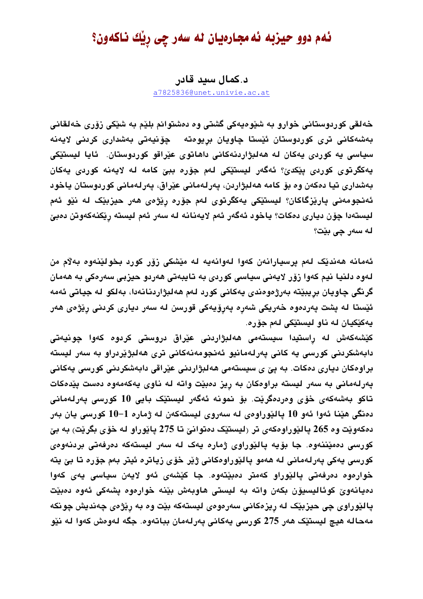## ئهم دوو حيزبه ئه مجارهيان له سهر چي ريْك ناكهون؟

د.کمال سید قادر

a7825836@unet.univie.ac.at

خەلقى كوردوستانى خوارو بە شێوەپەكى گشتى وە دەشتوانم بلێم بە شێكى زۆرى خەلقانى بەشەكانى ترى كوردوستان ئێستا چاويان بريوەتە چۆنيەتى بەشدارى كردنى لايەنە سیاسی یه کوردی یهکان له ههلبژاردنهکانی داهاتوی عیّراقو کوردوستان. ئایا لیستیّکی يەكگرتوى كوردى يێكدێ؟ ئەگەر ليستێكى لەم جۆرە ببێ كامە لە لايەنە كوردى يەكان بەشدارى تيا دەكەن وە بۆ كامە ھەلبژاردن، پەرلەمانى عێراق، پەرلەمانى كوردوستان ياخود ئەنجومەنى يارێزگاكان؟ ليستێكى يەكگرتوى لەم جۆرە رێ<del>ژ</del>ەى ھەر حيزبێک لە نێو ئەم ليستەدا چۆن ديارى دەكات؟ ياخود ئەگەر ئەم لايەنانە لە سەر ئەم ليستە رێكنەكەوتن دەبێ له سەر چى بێت؟

ئەمانە ھەندێک لەم يرسيارانەن کەوا لەوانەيە لە مێشکى زۆر کورد بخولێنەوە بەلام من لەوە دلنيا نيم كەوا زۆر لايەنى سياسى كوردى بە تايبەتى ھەردو چيزبى سەرەكى بە ھەمان گرنگي چاويان بريبێته بەرژەوەندى پەكانى كورد لەم ھەلبژاردنانەدا، بەلكو لە جياتى ئەمە ئێستا له يشت پەردەوە خەريكى شەرە پەرۆپەكى قورسن لە سەر ديارى كردنى رێژەي ھەر پهکێکيان له ناو ليستێکی لهم جۆره.

كێشەكەش لە راستيدا سیستەمی ھەلبژاردنی عێراق دروستی كردوە كەوا چونيەتی دابەشكردنى كورسى يە كانى يەرلەمانيو ئەنجومەنەكانى ترى ھەلبژێردراو بە سەر ليستە براوەكان ديارى دەكات. بە پێ ي سيستەمى ھەلبژاردنى عێراقى دابەشكردنى كورسى يەكانى پەرلەمانى بە سەر ليستە براوەكان بە ريز دەبێت واتە لە ناوى يەكەمەوە دەست پێدەكات تاكو بەشەكەي خۆي وەردەگرێت. بۆ نمونە ئەگەر ليستێک بايى 10 كورسى يەرلەمانى دەنگى ھێنا ئەوا ئەو 10 يالێوراوەي لە سەروي ليستەكەن لە ژمارە 1−10 كورسى يان بەر دهکەوپْت وە 265 ياليوراوەکەي تر (ليستيْک دەتوانىّ تا 275 ياپوراو لە خۆي بگريْت) بە بىّ كورسى دەمێننەوە. جا بۆيە يالێوراوى ژمارە يەك لە سەر ليستەكە دەرفەتى بردنەوەى كورسى پەكى پەرلەمانى لە ھەمو پالێوراوەكانى ژێر خۆي زياترە ئيتر بەم جۆرە تا بێ يتە خواردوه ددرفەتى يالێوراو كەمتر دەبێتەوە. جا كێشەی ئەو لايەن سياسى يەی كەوا دەيانەوێ كوئاليسيۆن بكەن واتە بە ليستى ھاوبەش بێنە خوارەوە پشەكى ئەوە دەبێت پالێوراوي چې حيزبێک له ريزهکاني سهرهومي ليستهکه بێت وه به رێژمي چهنديش چونکه مەحالە ھيچ ليستێک ھەر 275 كورسى يەكانى پەرلەمان بباتەوە. جگە لەوەش كەوا لە نێو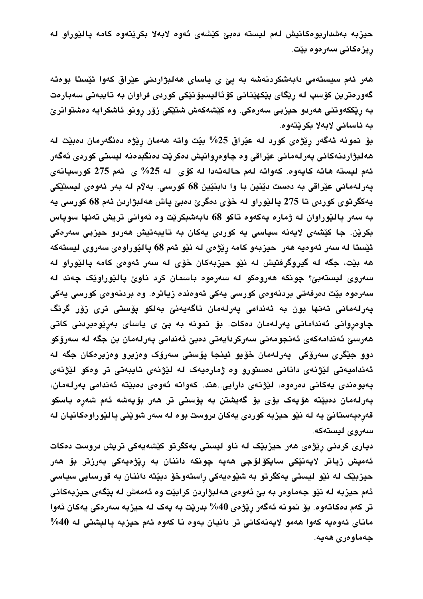حيزبه بەشداربوەكانيش لەم ليستە دەبىّ كێشەي ئەوە لابەلا بكرێتەوە كامە يالێوراو لە ريزەكانى سەرەوە بێت.

هەر ئەم سیستەمی دابەشكردنەشە بە پێ ی یاسای هەلبژاردنی عێراق كەوا ئێستا بوەتە گەورەترین كۆسپ لە رێگای پێکهێنانی كۆئالیسیۆنێکی كوردی فراوان بە تایبەتی سەبارەت به ریککهوتنی ههردو حیزبی سهرهکی. وه کیشهکهش شتیکی زوّر رونو ئاشکرایه دهشتوانریّ به ئاسانى لابەلا بكرێتەوە.

بۆ نمونه ئەگەر رێژەي كورد لە عێراق 25% بێت واتە ھەمان رێژە دەنگەرمان دەبێت لە هەلبژاردنەكانى پەرلەمانى عێراقى وە چاوەروانيش دەكرێت دەنگبدەنە ليستى كوردى ئەگەر ئەم ليستە ھاتە كايەوە. كەواتە لەم حالەتەدا لە كۆى لە 25% ى ئەم 275 كورسيانەى يەرلەمانى عێراقى بە دەست دێنين با وا دابنێين 68 كورسى. بەلام لە بەر ئەوەي ليستێكى يەكگرتوي كوردى تا 275 پالێوراو لە خۆي دەگرێ دەبێ پاش ھەلبژاردن ئەم 68 كورسى يە به سهر يالێوراوان له ژماره يهکهوه تاکو 68 دابهشبکرێت وه ئهوانی تريش تهنها سوياس بکرێن. جا کێشەی لایەنە سیاسی یە کوردی یەکان بە تایبەتیش ھەردو حیزبی سەرەکی ئێستا له سەر ئەوەيە ھەر حيزبەو كامە رێژەي لە نێو ئەم 68 يالێوراوەي سەروي ليستەكە هه بێت، جگه له گیروگرفتیش له نێو حیزبهکان خۆی له سهر ئهوهی کامه یالێوراو له سەروي ليستەبىّ? چونكە ھەروەكو لە سەرەوە باسمان كرد ناوىّ ياليّوراويّك چەند لە سەرەوە بێت دەرفەتى بردنەوەي كورسى يەكى ئەوەندە زياترە. وە بردنەوەي كورسى يەكى يەرلەمانى تەنھا بون بە ئەندامى يەرلەمان ناگەيەنىّ بەلكو يۆستى ترى زۆر گرنگ چاوەروانى ئەندامانى پەرلەمان دەكات. بۆ نمونە بە پێ ى ياساى بەرێوەبردنى كاتى ھەرسىّ ئەندامەكەي ئەنجومەنى سەركردايەتى دەبىّ ئەندامى پەرلەمان بن جگە لە سەرۆكو دوو جێگری سەرۆکی پەرلەمان خۆپو ئینجا پۆستی سەرۆک وەزیرو وەزیرەکان جگە لە ئەنداميەتى لێژنەي دانانى دەستورو وە ژمارەيەك لە لێژنەي تايبەتى تر وەكو لێژنەي يەيوەندى يەكانى دەرەوە، لێژنەي دارايى..ھتد. كەواتە ئەوەي دەبێتە ئەندامى يەرلەمان، پەرلەمان دەبێتە ھۆيەك بۆى بۆ گەيشتن بە پۆستى تر ھەر بۆيەشە ئەم شەرِە باسكو قەرەپەستانىٰ يە لە نێو حيزبە كوردى يەكان دروست بوە لە سەر شوێنى پالێوراوەكانيان لە سەروى ليستەكە.

دياري کردني رێژەي هەر حيزبێک له ناو ليستي يەکگرتو کێشەيەکی تريش دروست دەکات ئەميش زياتر لايەنێكى سايكۆلۆجى ھەيە چونكە داننان بە رێژەيەكى بەرزتر بۆ ھەر حيزبێک له نێو ليستي يهکگرتو به شێوهيهکي راستهوخۆ دبێته داننان به قورسايي سياسي ئەم حيزبه له نێو جەماوەر بە بێ ئەوەي ھەلبژاردن كرابێت وە ئەمەش لە پێگەي حيزبەكانى تر كەم دەكاتەوە. بۆ نمونە ئەگەر رێژەي 40% بدرێت بە يەك لە حيزبە سەرەكى يەكان ئەوا ماناي ئەوەيە كەوا ھەمو لايەنەكانى تر دانيان بەوە نا كەوە ئەم حيزبە پالپشتى لە 40% جەماوەرى ھەيە.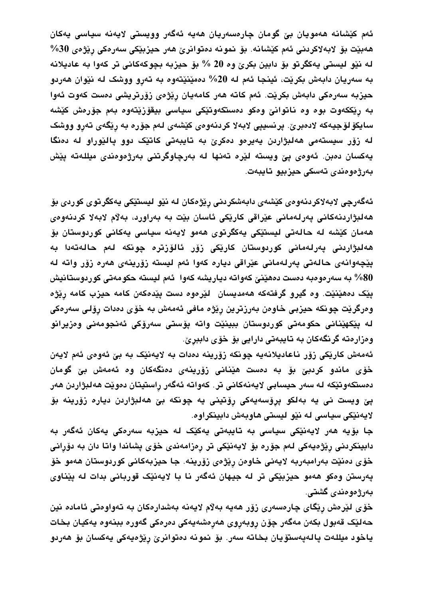ئەم كێشانە ھەمويان بێ گومان چارەسەريان ھەيە ئەگەر وويستى لايەنە سياسى يەكان ھەبێت بۆ لابەلاكردنى ئەم كێشانە. بۆ نمونە دەتوانرێ ھەر حيزبێكى سەرەكى رێژەي 30% له نێو لیستی یهکگرتو بۆ دابین بکرێ وه 20 % بۆ حیزبه بچوکهکانی تر کهوا به عادیلانه به سەريان دابەش بكرێت، ئينجا ئەم لە 20% دەمێنێتەوە بە تەرو ووشک لە نێوان ھەردو حیزبه سەرەکی دابەش بکریّت. ئەم کاتە ھەر کامەيان ریّژەی زۆرتریشی دەست کەوت ئەوا به ریککهوت بوه وه ناتوانیْ وهکو دهستکهوتیْکی سیاسی بیقوْزیْتهوه بهم جۆرەش کیشه سايكۆلۆجيەكە لادەبرێ. پرنسيپى لابەلا كردنەوەي كێشەي لەم جۆرە بە رێگەي تەرو ووشک له زۆر سیستهمی ههلبژاردن یهیرمو دمکریؒ به تایبهتی کاتیک دوو پالیّوراو له دمنگا يەكسان دەبن. ئەوەي پێ ويستە لێرە تەنھا لە بەرچاوگرتنى بەرژەوەندى مىللەتە پێش بەرژەوەندى تەسكى حيزبيو تايبەت.

ئەگەرچى لابەلاكردنەوەي كێشەي دابەشكردنى رێژەكان لە نێو ليستێكى يەكگرتوي كوردى بۆ هەلبژاردنەكانى پەرلەمانى عێراقى كارێكى ئاسان بێت بە بەراورد، بەلام لابەلا كردنەوەي هەمان كێشە لە حالەتى ليستێكى يەكگرتوى ھەمو لايەنە سياسى يەكانى كوردوستان بۆ ھەلبژاردنى پەرلەمانى كوردوستان كارێكى زۆر ئالۆزترە چونكە لەم حالەتەدا بە يێڃەوانەي حالەتى يەرلەمانى عێراقى ديارە كەوا ئەم ليستە زۆرينەي ھەرە زۆر واتە لە 80% به سەرەوەبە دەست دەھێنێ كەواتە دياريشە كەوا ئەم ليستە حكومەتى كوردوستانيش يێک دەھێنێت. وە گیرو گرفتەکە ھەمدیسان لێرەوە دست یێدەکەن کامە حیزب کامە رێژە وەرگرێت چونكه حيزبى خاوەن بەرزترين رِێژە مافى ئەمەش بە خۆى دەدات رِۆلى سەرەكى له يٽِکهٽِناني حکومەتی کوردوستان ببينٽِت واته يۆستی سەرۆکی ئەنجومەنی وەزيرانو وەزارەتە گرنگەكان بە تايبەتى دارايى بۆ خۆي داببرێ.

ئەمەش كارێكى زۆر ناعاديلانەيە چونكە زۆرينە دەدات بە لايەنێک بە بێ ئەوەي ئەم لايەن خۆی ماندو کردبیؒ بۆ به دەست هێنانی زۆرینەی دەنگەکان وە ئەمەش بیؒ گومان دەستكەوتێكە لە سەر حيسابى لايەنەكانى تر. كەواتە ئەگەر راستيتان دەوێت ھەلبژاردن ھەر پێ ویست نی یه بهلکو پړۆسەیەکی رِۆتینی یه چونکه بێ هەلبژاردن دیاره زۆرینه بۆ لایەنێکی سیاسی له نێو لیستی هاوبەش دابینکراوه.

جا بۆيە ھەر لايەنێكى سياسى بە تايبەتى يەكێک لە حيزبە سەرەكى يەكان ئەگەر بە دابينكردني ريْژەيەكى لەم جۆرە بۆ لايەنێكى تر رەزامەندى خۆي يشاندا واتا دان بە دۆرانى خۆي دەنێت بەرامبەربە لايەنى خاوەن رِێژەي زۆرينە. جا حيزبەكانى كوردوستان ھەمو خۆ پەرستن وەكو ھەمو حيزبێكى تر لە جيهان ئەگەر نا با لايەنێک قوربانى بدات لە پێناوى بەرژەوەندى گشتى.

خۆي لێرەش رێگاي چارەسەري زۆر ھەيە بەلام لايەنە بەشدارەكان بە تەواوەتى ئامادە نين حەلێک قەبول بکەن مەگەر چۆن روبەروي ھەرەشەيەكى دەرەكى گەورە ببنەوە يەكيان بخات ياخود ميللەت پالەپەستۆيان بخاتە سەر. بۆ نمونە دەتوانرێ رێژەيەكى يەكسان بۆ ھەردو